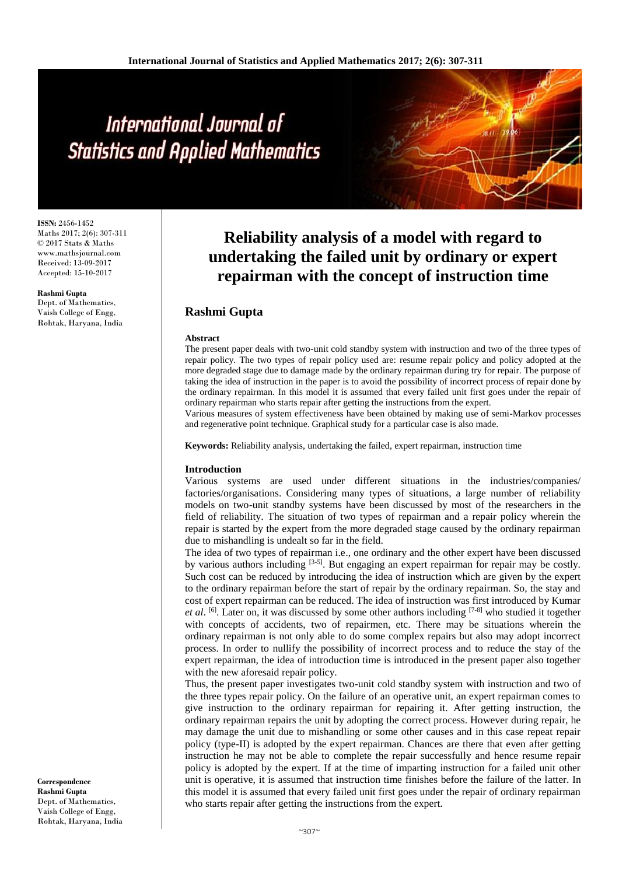# International Journal of **Statistics and Applied Mathematics**

**ISSN:** 2456-1452 Maths 2017; 2(6): 307-311 © 2017 Stats & Maths www.mathsjournal.com Received: 13-09-2017 Accepted: 15-10-2017

**Rashmi Gupta** Dept. of Mathematics, Vaish College of Engg, Rohtak, Haryana, India

**Reliability analysis of a model with regard to undertaking the failed unit by ordinary or expert repairman with the concept of instruction time**

## **Rashmi Gupta**

#### **Abstract**

The present paper deals with two-unit cold standby system with instruction and two of the three types of repair policy. The two types of repair policy used are: resume repair policy and policy adopted at the more degraded stage due to damage made by the ordinary repairman during try for repair. The purpose of taking the idea of instruction in the paper is to avoid the possibility of incorrect process of repair done by the ordinary repairman. In this model it is assumed that every failed unit first goes under the repair of ordinary repairman who starts repair after getting the instructions from the expert.

Various measures of system effectiveness have been obtained by making use of semi-Markov processes and regenerative point technique. Graphical study for a particular case is also made.

**Keywords:** Reliability analysis, undertaking the failed, expert repairman, instruction time

#### **Introduction**

Various systems are used under different situations in the industries/companies/ factories/organisations. Considering many types of situations, a large number of reliability models on two-unit standby systems have been discussed by most of the researchers in the field of reliability. The situation of two types of repairman and a repair policy wherein the repair is started by the expert from the more degraded stage caused by the ordinary repairman due to mishandling is undealt so far in the field.

The idea of two types of repairman i.e., one ordinary and the other expert have been discussed by various authors including  $[3-5]$ . But engaging an expert repairman for repair may be costly. Such cost can be reduced by introducing the idea of instruction which are given by the expert to the ordinary repairman before the start of repair by the ordinary repairman. So, the stay and cost of expert repairman can be reduced. The idea of instruction was first introduced by Kumar et al. <sup>[6]</sup>. Later on, it was discussed by some other authors including <sup>[7-8]</sup> who studied it together with concepts of accidents, two of repairmen, etc. There may be situations wherein the ordinary repairman is not only able to do some complex repairs but also may adopt incorrect process. In order to nullify the possibility of incorrect process and to reduce the stay of the expert repairman, the idea of introduction time is introduced in the present paper also together with the new aforesaid repair policy.

Thus, the present paper investigates two-unit cold standby system with instruction and two of the three types repair policy. On the failure of an operative unit, an expert repairman comes to give instruction to the ordinary repairman for repairing it. After getting instruction, the ordinary repairman repairs the unit by adopting the correct process. However during repair, he may damage the unit due to mishandling or some other causes and in this case repeat repair policy (type-II) is adopted by the expert repairman. Chances are there that even after getting instruction he may not be able to complete the repair successfully and hence resume repair policy is adopted by the expert. If at the time of imparting instruction for a failed unit other unit is operative, it is assumed that instruction time finishes before the failure of the latter. In this model it is assumed that every failed unit first goes under the repair of ordinary repairman who starts repair after getting the instructions from the expert.

**Correspondence Rashmi Gupta** Dept. of Mathematics, Vaish College of Engg, Rohtak, Haryana, India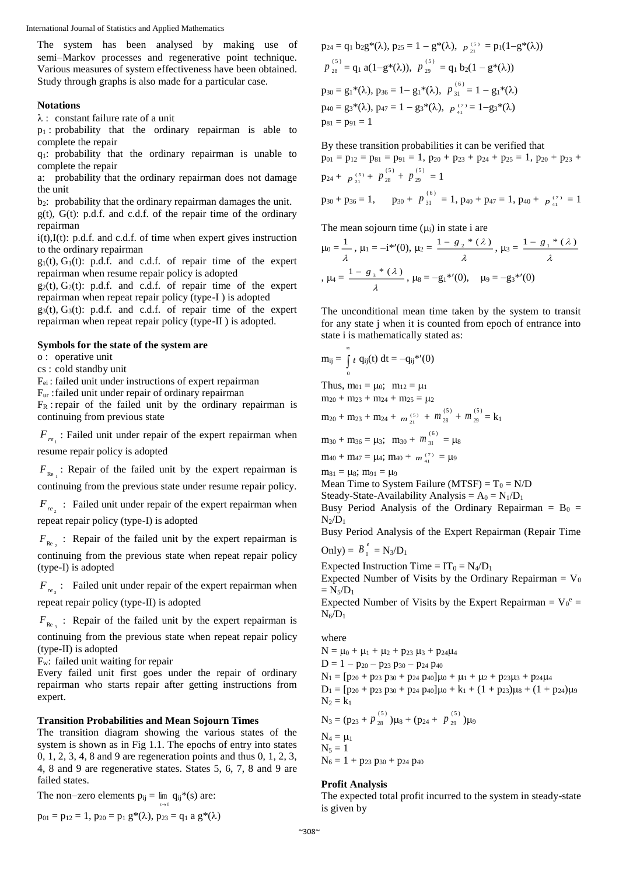International Journal of Statistics and Applied Mathematics

The system has been analysed by making use of semi-Markov processes and regenerative point technique. Various measures of system effectiveness have been obtained. Study through graphs is also made for a particular case.

#### **Notations**

 $\lambda$ : constant failure rate of a unit

 $p_1$ : probability that the ordinary repairman is able to complete the repair

q1: probability that the ordinary repairman is unable to complete the repair

a: probability that the ordinary repairman does not damage the unit

 $b_2$ : probability that the ordinary repairman damages the unit.  $g(t)$ ,  $G(t)$ : p.d.f. and c.d.f. of the repair time of the ordinary repairman

 $i(t)$ , $I(t)$ : p.d.f. and c.d.f. of time when expert gives instruction to the ordinary repairman

 $g_1(t)$ ,  $G_1(t)$ : p.d.f. and c.d.f. of repair time of the expert repairman when resume repair policy is adopted

 $g_2(t)$ ,  $G_2(t)$ : p.d.f. and c.d.f. of repair time of the expert repairman when repeat repair policy (type-I ) is adopted

 $g_3(t)$ ,  $G_3(t)$ : p.d.f. and c.d.f. of repair time of the expert repairman when repeat repair policy (type-II ) is adopted.

## **Symbols for the state of the system are**

o : operative unit

cs : cold standby unit

Fei : failed unit under instructions of expert repairman

Fur :failed unit under repair of ordinary repairman

 $F_R$ : repair of the failed unit by the ordinary repairman is continuing from previous state

 $F_{n}$ : Failed unit under repair of the expert repairman when resume repair policy is adopted

 $F_{\text{Re}_1}$ : Repair of the failed unit by the expert repairman is continuing from the previous state under resume repair policy.

 $F_{re_2}$ : Failed unit under repair of the expert repairman when repeat repair policy (type-I) is adopted

 $F_{\text{Re}_{2}}$ : Repair of the failed unit by the expert repairman is continuing from the previous state when repeat repair policy (type-I) is adopted

 $F_{re}$ : Failed unit under repair of the expert repairman when repeat repair policy (type-II) is adopted

 $F_{\text{Re}_{3}}$ : Repair of the failed unit by the expert repairman is continuing from the previous state when repeat repair policy (type-II) is adopted

Fw: failed unit waiting for repair

Every failed unit first goes under the repair of ordinary repairman who starts repair after getting instructions from expert.

## **Transition Probabilities and Mean Sojourn Times**

The transition diagram showing the various states of the system is shown as in Fig 1.1. The epochs of entry into states 0, 1, 2, 3, 4, 8 and 9 are regeneration points and thus 0, 1, 2, 3, 4, 8 and 9 are regenerative states. States 5, 6, 7, 8 and 9 are failed states.

> 0 *s*

The non-zero elements  $p_{ij} = \lim q_{ij} * (s)$  are:

$$
p_{01} = p_{12} = 1, p_{20} = p_1 g^*(\lambda), p_{23} = q_1 a g^*(\lambda)
$$

$$
p_{24} = q_1 b_2 g^*(\lambda), p_{25} = 1 - g^*(\lambda), p_{21}^{(5)} = p_1(1 - g^*(\lambda))
$$
  
\n
$$
p_{28}^{(5)} = q_1 a(1 - g^*(\lambda)), p_{29}^{(5)} = q_1 b_2(1 - g^*(\lambda))
$$
  
\n
$$
p_{30} = g_1^*(\lambda), p_{36} = 1 - g_1^*(\lambda), p_{31}^{(6)} = 1 - g_1^*(\lambda)
$$
  
\n
$$
p_{40} = g_3^*(\lambda), p_{47} = 1 - g_3^*(\lambda), p_{41}^{(7)} = 1 - g_3^*(\lambda)
$$
  
\n
$$
p_{81} = p_{91} = 1
$$

By these transition probabilities it can be verified that  $p_{01} = p_{12} = p_{81} = p_{91} = 1$ ,  $p_{20} + p_{23} + p_{24} + p_{25} = 1$ ,  $p_{20} + p_{23} + p_{24} + p_{25} = 1$  $p_{24} + p_{21}^{(5)} + p_{28}^{(5)} + p_{29}^{(5)}$ 29  $p_{28}^{(5)} + p_{29}^{(5)} = 1$  $p_{30} + p_{36} = 1$ ,  $p_{30} + p_{31}^{(6)} = 1$ ,  $p_{40} + p_{47} = 1$ ,  $p_{40} + p_{41}^{(7)} = 1$ 

The mean sojourn time  $(\mu_i)$  in state i are

$$
\mu_0 = \frac{1}{\lambda}, \ \mu_1 = -i^{*}(0), \ \mu_2 = \frac{1 - g_2^{*}(\lambda)}{\lambda}, \ \mu_3 = \frac{1 - g_1^{*}(\lambda)}{\lambda}
$$
\n
$$
\mu_4 = \frac{1 - g_3^{*}(\lambda)}{\lambda}, \ \mu_8 = -g_1^{*'}(0), \quad \mu_9 = -g_3^{*'}(0)
$$

The unconditional mean time taken by the system to transit for any state j when it is counted from epoch of entrance into state i is mathematically stated as:

$$
m_{ij} = \int_{0}^{\infty} t q_{ij}(t) dt = -q_{ij} *^{\prime}(0)
$$
  
\nThus,  $m_{01} = \mu_0$ ;  $m_{12} = \mu_1$   
\n $m_{20} + m_{23} + m_{24} + m_{25} = \mu_2$   
\n $m_{20} + m_{23} + m_{24} + m_{21}^{(5)} + m_{28}^{(5)} + m_{29}^{(5)} = k_1$   
\n $m_{30} + m_{36} = \mu_3$ ;  $m_{30} + m_{31}^{(6)} = \mu_8$   
\n $m_{40} + m_{47} = \mu_4$ ;  $m_{40} + m_{41}^{(7)} = \mu_9$   
\nMean Time to System Failure (MTSF) = T<sub>0</sub> = N/D  
\nSteady-State-Availability Analysis = A<sub>0</sub> = N<sub>1</sub>/D<sub>1</sub>

Busy Period Analysis of the Ordinary Repairman =  $B_0$  =  $N_2/D_1$ 

Busy Period Analysis of the Expert Repairman (Repair Time

Only) = 
$$
B_0^e = N_3/D_1
$$

Expected Instruction Time =  $IT_0 = N_4/D_1$ 

Expected Number of Visits by the Ordinary Repairman =  $V_0$  $= N_5/D_1$ 

Expected Number of Visits by the Expert Repairman =  $V_0^e$  =  $N_6/D_1$ 

where

 $N = \mu_0 + \mu_1 + \mu_2 + p_{23} \mu_3 + p_{24} \mu_4$  $D = 1 - p_{20} - p_{23} p_{30} - p_{24} p_{40}$  $N_1 = [p_{20} + p_{23} p_{30} + p_{24} p_{40}] \mu_0 + \mu_1 + \mu_2 + p_{23} \mu_3 + p_{24} \mu_4$  $D_1 = [p_{20} + p_{23} p_{30} + p_{24} p_{40}] \mu_0 + k_1 + (1 + p_{23}) \mu_8 + (1 + p_{24}) \mu_9$  $N_2 = k_1$  $(5)$  $(5)$ 

$$
N_3 = (p_{23} + p_{28}^{(5)})\mu_8 + (p_{24} + p_{29}^{(5)})\mu_9
$$
  
\n
$$
N_4 = \mu_1
$$
  
\n
$$
N_5 = 1
$$

 $N_6 = 1 + p_{23} p_{30} + p_{24} p_{40}$ 

## **Profit Analysis**

The expected total profit incurred to the system in steady-state is given by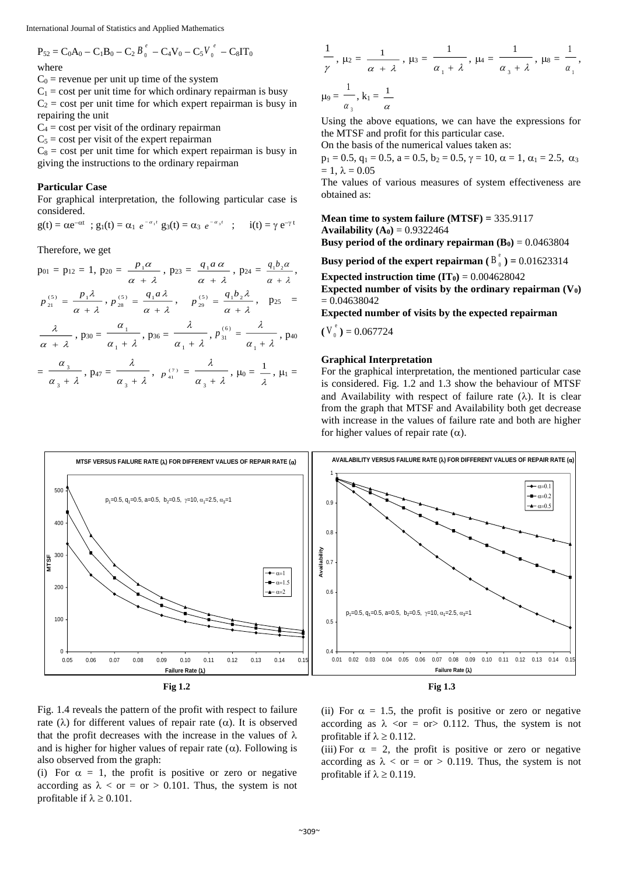International Journal of Statistics and Applied Mathematics

$$
P_{52} = C_0 A_0 - C_1 B_0 - C_2 B_0^e - C_4 V_0 - C_5 V_0^e - C_8 I T_0
$$

#### where

 $C_0$  = revenue per unit up time of the system

 $C_1$  = cost per unit time for which ordinary repairman is busy  $C_2$  = cost per unit time for which expert repairman is busy in repairing the unit

 $C_4$  = cost per visit of the ordinary repairman

 $C_5$  = cost per visit of the expert repairman

 $C_8$  = cost per unit time for which expert repairman is busy in giving the instructions to the ordinary repairman

## **Particular Case**

For graphical interpretation, the following particular case is considered.

$$
g(t) = \alpha e^{-\alpha t}
$$
;  $g_1(t) = \alpha_1 e^{-\alpha_1 t}$   $g_3(t) = \alpha_3 e^{-\alpha_3 t}$ ;  $i(t) = \gamma e^{-\gamma t}$ 

Therefore, we get

 $p_{01} = p_{12} = 1, p_{20} = \frac{P_1 \alpha}{\alpha + \lambda}$ α  $^+$  $\frac{p_1 \alpha}{\alpha + \lambda}$ , p<sub>23</sub> =  $\frac{q_1 a \alpha}{\alpha + \lambda}$ α  $\mathrm{+}$  $\frac{q_1 a \alpha}{\alpha + \lambda}$ , p<sub>24</sub> =  $\frac{q_1 b_2 a}{\alpha + \lambda}$ α  $\hskip 0.025cm +$  $q_1b_2\alpha$ ,  $\alpha + \lambda$ λ  $p_{21}^{(5)} = \frac{p_1 \lambda}{\alpha + \lambda}$ ,  $p_{28}^{(5)} = \frac{q_1 a \lambda}{\alpha + \lambda}$ λ  $^{+}$  $p_{28}^{(5)} = \frac{q_1 a \lambda}{\alpha + \lambda}, \quad p_{29}^{(5)} = \frac{q_1 b_2 \lambda}{\alpha + \lambda}$ λ  $\frac{(5)}{29} = \frac{q_1 \nu_2}{\alpha + 1}$  $p_{29}^{(5)} = \frac{q_1 b_2 \lambda}{n}$ ,  $p_{25} =$ λ  $\frac{\lambda}{\lambda}$ , p<sub>30</sub> =  $\frac{1}{\alpha + \lambda}$ α  $\frac{1}{\lambda}$ , p<sub>36</sub> =  $\frac{\lambda}{\alpha + \lambda}$ λ ,  $p_{31}^{(0)} = \frac{1}{\alpha + \lambda}$ λ  $p_{31}^{(6)} = \frac{\lambda}{\lambda}$ , p<sub>40</sub>

$$
\alpha + \lambda \qquad \alpha_1 + \lambda \qquad \alpha_1 + \lambda \qquad \alpha_1 + \lambda
$$
  
= 
$$
\frac{\alpha_3}{\alpha_3 + \lambda}, \quad p_{47} = \frac{\lambda}{\alpha_3 + \lambda}, \quad p_{41}^{(7)} = \frac{\lambda}{\alpha_3 + \lambda}, \quad \mu_0 = \frac{1}{\lambda}, \quad \mu_1 = \frac{1}{\lambda}
$$

$$
\frac{1}{\gamma}, \ \mu_2 = \frac{1}{\alpha + \lambda}, \ \mu_3 = \frac{1}{\alpha_1 + \lambda}, \ \mu_4 = \frac{1}{\alpha_3 + \lambda}, \ \mu_8 = \frac{1}{\alpha_1}, \ \mu_9 = \frac{1}{\alpha_3}, \ k_1 = \frac{1}{\alpha}
$$

Using the above equations, we can have the expressions for the MTSF and profit for this particular case.

On the basis of the numerical values taken as:

 $p_1 = 0.5$ ,  $q_1 = 0.5$ ,  $a = 0.5$ ,  $b_2 = 0.5$ ,  $\gamma = 10$ ,  $\alpha = 1$ ,  $\alpha_1 = 2.5$ ,  $\alpha_3$  $= 1, \lambda = 0.05$ 

The values of various measures of system effectiveness are obtained as:

**Mean time to system failure (MTSF) =** 335.9117 **Availability**  $(A_0) = 0.9322464$ **Busy period of the ordinary repairman**  $(B_0) = 0.0463804$ 

**Busy period of the expert repairman**  $(B_0^{\epsilon}) = 0.01623314$ 

**Expected instruction time**  $(IT_0) = 0.004628042$ 

**Expected number of visits by the ordinary repairman (V0)**   $= 0.04638042$ 

**Expected number of visits by the expected repairman** 

$$
(V_0^e) = 0.067724
$$

#### **Graphical Interpretation**

For the graphical interpretation, the mentioned particular case is considered. Fig. 1.2 and 1.3 show the behaviour of MTSF and Availability with respect of failure rate  $(\lambda)$ . It is clear from the graph that MTSF and Availability both get decrease with increase in the values of failure rate and both are higher for higher values of repair rate  $(\alpha)$ .



 $\,{}^{+}\,$ 

Fig. 1.4 reveals the pattern of the profit with respect to failure rate ( $\lambda$ ) for different values of repair rate ( $\alpha$ ). It is observed that the profit decreases with the increase in the values of  $\lambda$ and is higher for higher values of repair rate  $(\alpha)$ . Following is also observed from the graph:

(i) For  $\alpha = 1$ , the profit is positive or zero or negative according as  $\lambda <$  or = or > 0.101. Thus, the system is not profitable if  $\lambda \geq 0.101$ .

(ii) For  $\alpha = 1.5$ , the profit is positive or zero or negative according as  $\lambda \langle \text{or} = \text{or} \rangle$  0.112. Thus, the system is not profitable if  $\lambda \geq 0.112$ .

(iii) For  $\alpha = 2$ , the profit is positive or zero or negative according as  $\lambda <$  or = or > 0.119. Thus, the system is not profitable if  $\lambda \geq 0.119$ .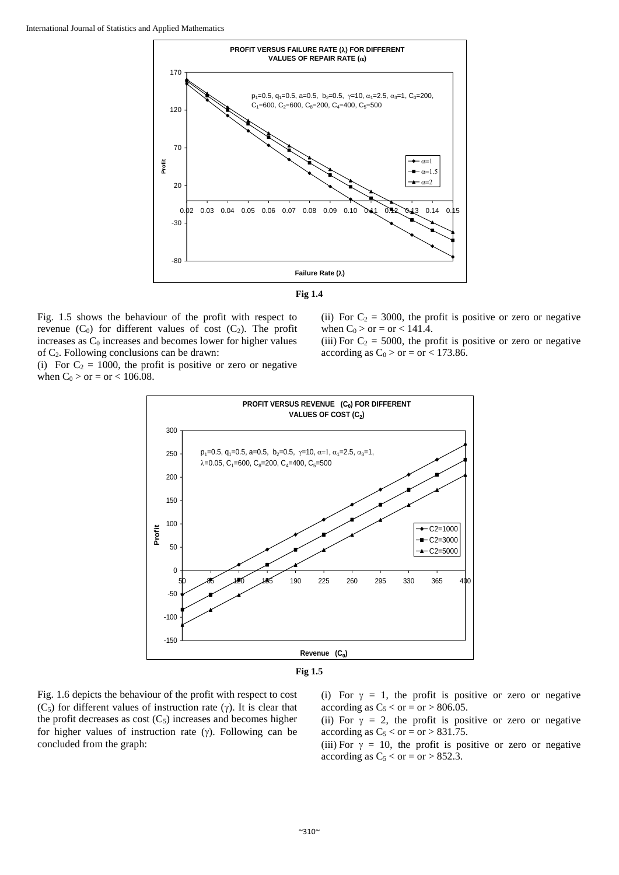



Fig. 1.5 shows the behaviour of the profit with respect to revenue  $(C_0)$  for different values of cost  $(C_2)$ . The profit increases as  $C_0$  increases and becomes lower for higher values of C2. Following conclusions can be drawn:

(i) For  $C_2 = 1000$ , the profit is positive or zero or negative when  $C_0 >$  or = or < 106.08.

(ii) For  $C_2 = 3000$ , the profit is positive or zero or negative when  $C_0 >$  or = or < 141.4.

(iii) For  $C_2 = 5000$ , the profit is positive or zero or negative according as  $C_0 >$  or = or < 173.86.





Fig. 1.6 depicts the behaviour of the profit with respect to cost  $(C_5)$  for different values of instruction rate  $(\gamma)$ . It is clear that the profit decreases as cost  $(C_5)$  increases and becomes higher for higher values of instruction rate  $(y)$ . Following can be concluded from the graph:

(i) For  $\gamma = 1$ , the profit is positive or zero or negative according as  $C_5 < or = or > 806.05$ .

(ii) For  $\gamma = 2$ , the profit is positive or zero or negative according as  $C_5 <$  or = or > 831.75.

(iii) For  $\gamma = 10$ , the profit is positive or zero or negative according as  $C_5 <$  or = or > 852.3.